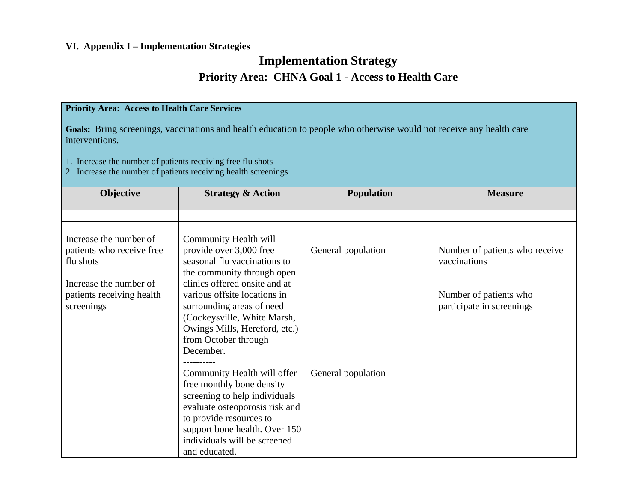#### **VI. Appendix I – Implementation Strategies**

#### **Implementation Strategy Priority Area: CHNA Goal 1 - Access to Health Care**

#### **Priority Area: Access to Health Care Services**

**Goals:** Bring screenings, vaccinations and health education to people who otherwise would not receive any health care interventions.

1. Increase the number of patients receiving free flu shots

2. Increase the number of patients receiving health screenings

| Objective                 | <b>Strategy &amp; Action</b>   | <b>Population</b>  | <b>Measure</b>                 |
|---------------------------|--------------------------------|--------------------|--------------------------------|
|                           |                                |                    |                                |
|                           |                                |                    |                                |
|                           |                                |                    |                                |
| Increase the number of    | Community Health will          |                    |                                |
| patients who receive free | provide over 3,000 free        | General population | Number of patients who receive |
| flu shots                 | seasonal flu vaccinations to   |                    | vaccinations                   |
|                           | the community through open     |                    |                                |
| Increase the number of    | clinics offered onsite and at  |                    |                                |
| patients receiving health | various offsite locations in   |                    | Number of patients who         |
| screenings                | surrounding areas of need      |                    | participate in screenings      |
|                           | (Cockeysville, White Marsh,    |                    |                                |
|                           | Owings Mills, Hereford, etc.)  |                    |                                |
|                           | from October through           |                    |                                |
|                           | December.                      |                    |                                |
|                           |                                |                    |                                |
|                           | Community Health will offer    | General population |                                |
|                           | free monthly bone density      |                    |                                |
|                           | screening to help individuals  |                    |                                |
|                           | evaluate osteoporosis risk and |                    |                                |
|                           | to provide resources to        |                    |                                |
|                           | support bone health. Over 150  |                    |                                |
|                           | individuals will be screened   |                    |                                |
|                           | and educated.                  |                    |                                |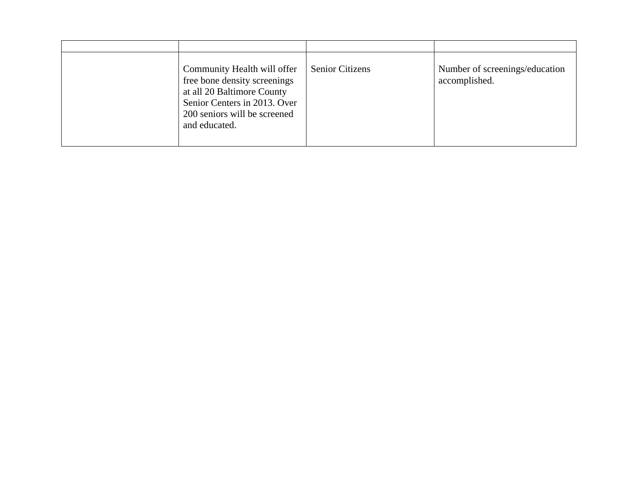| Community Health will offer<br>free bone density screenings<br>at all 20 Baltimore County<br>Senior Centers in 2013. Over<br>200 seniors will be screened<br>and educated. | <b>Senior Citizens</b> | Number of screenings/education<br>accomplished. |
|----------------------------------------------------------------------------------------------------------------------------------------------------------------------------|------------------------|-------------------------------------------------|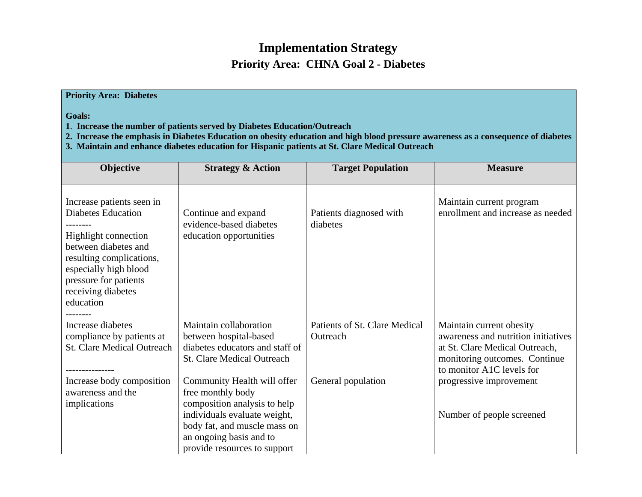### **Implementation Strategy Priority Area: CHNA Goal 2 - Diabetes**

#### **Priority Area: Diabetes**

**Goals:** 

- **1**. **Increase the number of patients served by Diabetes Education/Outreach**
- **2. Increase the emphasis in Diabetes Education on obesity education and high blood pressure awareness as a consequence of diabetes**
- **3. Maintain and enhance diabetes education for Hispanic patients at St. Clare Medical Outreach**

| Objective                                                                                                                                                                                                               | <b>Strategy &amp; Action</b>                                                                                                                                                 | <b>Target Population</b>                                        | <b>Measure</b>                                                                                                                                                                             |
|-------------------------------------------------------------------------------------------------------------------------------------------------------------------------------------------------------------------------|------------------------------------------------------------------------------------------------------------------------------------------------------------------------------|-----------------------------------------------------------------|--------------------------------------------------------------------------------------------------------------------------------------------------------------------------------------------|
|                                                                                                                                                                                                                         |                                                                                                                                                                              |                                                                 |                                                                                                                                                                                            |
| Increase patients seen in<br><b>Diabetes Education</b><br>Highlight connection<br>between diabetes and<br>resulting complications,<br>especially high blood<br>pressure for patients<br>receiving diabetes<br>education | Continue and expand<br>evidence-based diabetes<br>education opportunities                                                                                                    | Patients diagnosed with<br>diabetes                             | Maintain current program<br>enrollment and increase as needed                                                                                                                              |
| Increase diabetes<br>compliance by patients at<br><b>St. Clare Medical Outreach</b><br>Increase body composition                                                                                                        | Maintain collaboration<br>between hospital-based<br>diabetes educators and staff of<br><b>St. Clare Medical Outreach</b><br>Community Health will offer                      | Patients of St. Clare Medical<br>Outreach<br>General population | Maintain current obesity<br>awareness and nutrition initiatives<br>at St. Clare Medical Outreach,<br>monitoring outcomes. Continue<br>to monitor A1C levels for<br>progressive improvement |
| awareness and the<br>implications                                                                                                                                                                                       | free monthly body<br>composition analysis to help<br>individuals evaluate weight,<br>body fat, and muscle mass on<br>an ongoing basis and to<br>provide resources to support |                                                                 | Number of people screened                                                                                                                                                                  |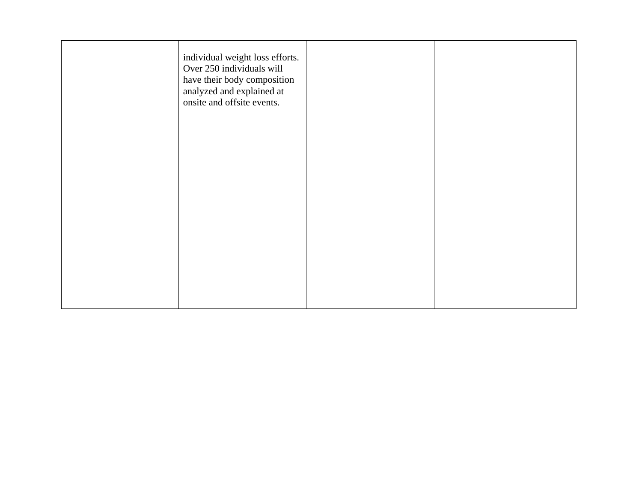| individual weight loss efforts.<br>Over 250 individuals will<br>have their body composition<br>analyzed and explained at<br>onsite and offsite events. |  |
|--------------------------------------------------------------------------------------------------------------------------------------------------------|--|
|                                                                                                                                                        |  |
|                                                                                                                                                        |  |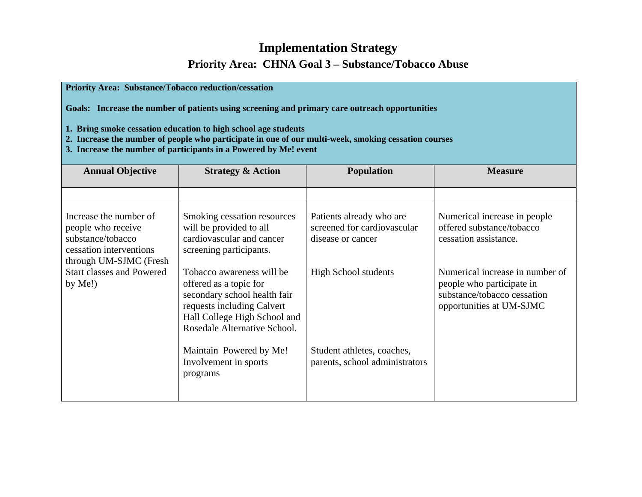### **Implementation Strategy Priority Area: CHNA Goal 3 – Substance/Tobacco Abuse**

| <b>Priority Area: Substance/Tobacco reduction/cessation</b><br>Goals: Increase the number of patients using screening and primary care outreach opportunities<br>1. Bring smoke cessation education to high school age students<br>2. Increase the number of people who participate in one of our multi-week, smoking cessation courses<br>3. Increase the number of participants in a Powered by Me! event |                                                                                                                                                                                   |                                                                              |                                                                                                                         |  |
|-------------------------------------------------------------------------------------------------------------------------------------------------------------------------------------------------------------------------------------------------------------------------------------------------------------------------------------------------------------------------------------------------------------|-----------------------------------------------------------------------------------------------------------------------------------------------------------------------------------|------------------------------------------------------------------------------|-------------------------------------------------------------------------------------------------------------------------|--|
| <b>Annual Objective</b>                                                                                                                                                                                                                                                                                                                                                                                     | <b>Strategy &amp; Action</b>                                                                                                                                                      | <b>Population</b>                                                            | <b>Measure</b>                                                                                                          |  |
|                                                                                                                                                                                                                                                                                                                                                                                                             |                                                                                                                                                                                   |                                                                              |                                                                                                                         |  |
| Increase the number of<br>people who receive<br>substance/tobacco<br>cessation interventions<br>through UM-SJMC (Fresh                                                                                                                                                                                                                                                                                      | Smoking cessation resources<br>will be provided to all<br>cardiovascular and cancer<br>screening participants.                                                                    | Patients already who are<br>screened for cardiovascular<br>disease or cancer | Numerical increase in people<br>offered substance/tobacco<br>cessation assistance.                                      |  |
| <b>Start classes and Powered</b><br>by $Me!)$                                                                                                                                                                                                                                                                                                                                                               | Tobacco awareness will be<br>offered as a topic for<br>secondary school health fair<br>requests including Calvert<br>Hall College High School and<br>Rosedale Alternative School. | <b>High School students</b>                                                  | Numerical increase in number of<br>people who participate in<br>substance/tobacco cessation<br>opportunities at UM-SJMC |  |
|                                                                                                                                                                                                                                                                                                                                                                                                             | Maintain Powered by Me!<br>Involvement in sports<br>programs                                                                                                                      | Student athletes, coaches,<br>parents, school administrators                 |                                                                                                                         |  |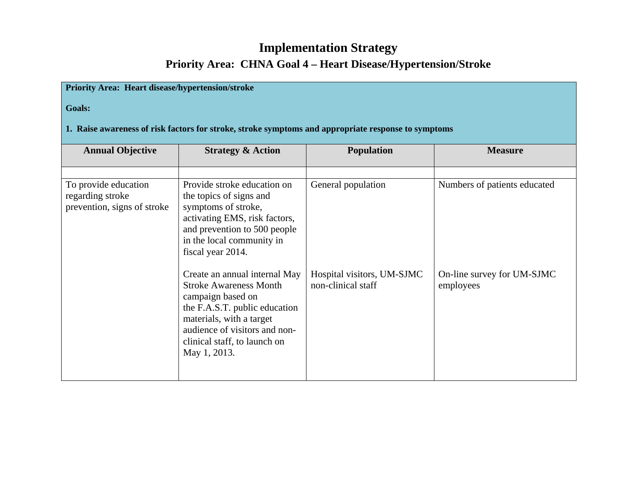### **Implementation Strategy Priority Area: CHNA Goal 4 – Heart Disease/Hypertension/Stroke**

#### **Priority Area: Heart disease/hypertension/stroke**

**Goals:**

#### **1. Raise awareness of risk factors for stroke, stroke symptoms and appropriate response to symptoms**

| <b>Annual Objective</b>                                                 | <b>Strategy &amp; Action</b>                                                                                                                                                                                                      | <b>Population</b>                                | <b>Measure</b>                          |
|-------------------------------------------------------------------------|-----------------------------------------------------------------------------------------------------------------------------------------------------------------------------------------------------------------------------------|--------------------------------------------------|-----------------------------------------|
| To provide education<br>regarding stroke<br>prevention, signs of stroke | Provide stroke education on<br>the topics of signs and<br>symptoms of stroke,<br>activating EMS, risk factors,<br>and prevention to 500 people<br>in the local community in<br>fiscal year 2014.                                  | General population                               | Numbers of patients educated            |
|                                                                         | Create an annual internal May<br><b>Stroke Awareness Month</b><br>campaign based on<br>the F.A.S.T. public education<br>materials, with a target<br>audience of visitors and non-<br>clinical staff, to launch on<br>May 1, 2013. | Hospital visitors, UM-SJMC<br>non-clinical staff | On-line survey for UM-SJMC<br>employees |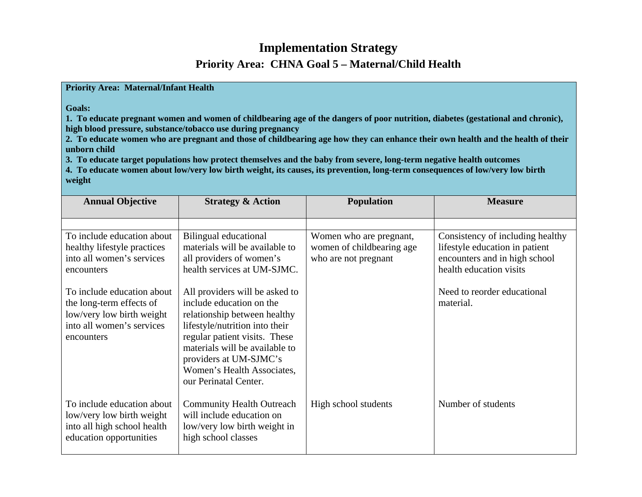### **Implementation Strategy Priority Area: CHNA Goal 5 – Maternal/Child Health**

**Priority Area: Maternal/Infant Health** 

**Goals:** 

**1. To educate pregnant women and women of childbearing age of the dangers of poor nutrition, diabetes (gestational and chronic), high blood pressure, substance/tobacco use during pregnancy** 

**2. To educate women who are pregnant and those of childbearing age how they can enhance their own health and the health of their unborn child** 

**3. To educate target populations how protect themselves and the baby from severe, long-term negative health outcomes** 

**4. To educate women about low/very low birth weight, its causes, its prevention, long-term consequences of low/very low birth weight** 

| <b>Annual Objective</b>                                                                                                        | <b>Strategy &amp; Action</b>                                                                                                                                                                                                                                                     | <b>Population</b>                                                            | <b>Measure</b>                                                                                                                 |
|--------------------------------------------------------------------------------------------------------------------------------|----------------------------------------------------------------------------------------------------------------------------------------------------------------------------------------------------------------------------------------------------------------------------------|------------------------------------------------------------------------------|--------------------------------------------------------------------------------------------------------------------------------|
| To include education about<br>healthy lifestyle practices<br>into all women's services<br>encounters                           | Bilingual educational<br>materials will be available to<br>all providers of women's<br>health services at UM-SJMC.                                                                                                                                                               | Women who are pregnant,<br>women of childbearing age<br>who are not pregnant | Consistency of including healthy<br>lifestyle education in patient<br>encounters and in high school<br>health education visits |
| To include education about<br>the long-term effects of<br>low/very low birth weight<br>into all women's services<br>encounters | All providers will be asked to<br>include education on the<br>relationship between healthy<br>lifestyle/nutrition into their<br>regular patient visits. These<br>materials will be available to<br>providers at UM-SJMC's<br>Women's Health Associates,<br>our Perinatal Center. |                                                                              | Need to reorder educational<br>material.                                                                                       |
| To include education about<br>low/very low birth weight<br>into all high school health<br>education opportunities              | <b>Community Health Outreach</b><br>will include education on<br>low/very low birth weight in<br>high school classes                                                                                                                                                             | High school students                                                         | Number of students                                                                                                             |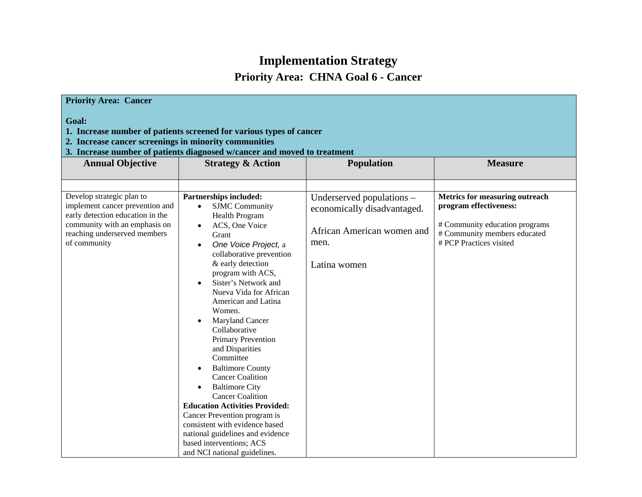# **Implementation Strategy**

## **Priority Area: CHNA Goal 6 - Cancer**

| <b>Priority Area: Cancer</b>                                                                                                                                                                                      |                                                                                                                                                                                                                                                                                                                                                                                                                                                                                                                                                                                                                                                                                                                               |                                                                                                                |                                                                                                                                                              |  |
|-------------------------------------------------------------------------------------------------------------------------------------------------------------------------------------------------------------------|-------------------------------------------------------------------------------------------------------------------------------------------------------------------------------------------------------------------------------------------------------------------------------------------------------------------------------------------------------------------------------------------------------------------------------------------------------------------------------------------------------------------------------------------------------------------------------------------------------------------------------------------------------------------------------------------------------------------------------|----------------------------------------------------------------------------------------------------------------|--------------------------------------------------------------------------------------------------------------------------------------------------------------|--|
| Goal:<br>1. Increase number of patients screened for various types of cancer<br>2. Increase cancer screenings in minority communities<br>3. Increase number of patients diagnosed w/cancer and moved to treatment |                                                                                                                                                                                                                                                                                                                                                                                                                                                                                                                                                                                                                                                                                                                               |                                                                                                                |                                                                                                                                                              |  |
| <b>Annual Objective</b>                                                                                                                                                                                           | <b>Strategy &amp; Action</b>                                                                                                                                                                                                                                                                                                                                                                                                                                                                                                                                                                                                                                                                                                  | <b>Population</b>                                                                                              | <b>Measure</b>                                                                                                                                               |  |
| Develop strategic plan to<br>implement cancer prevention and<br>early detection education in the<br>community with an emphasis on<br>reaching underserved members<br>of community                                 | Partnerships included:<br><b>SJMC</b> Community<br>$\bullet$<br><b>Health Program</b><br>ACS, One Voice<br>Grant<br>One Voice Project, a<br>collaborative prevention<br>& early detection<br>program with ACS,<br>Sister's Network and<br>Nueva Vida for African<br>American and Latina<br>Women.<br>Maryland Cancer<br>Collaborative<br>Primary Prevention<br>and Disparities<br>Committee<br><b>Baltimore County</b><br><b>Cancer Coalition</b><br><b>Baltimore City</b><br>$\bullet$<br><b>Cancer Coalition</b><br><b>Education Activities Provided:</b><br>Cancer Prevention program is<br>consistent with evidence based<br>national guidelines and evidence<br>based interventions; ACS<br>and NCI national guidelines. | Underserved populations –<br>economically disadvantaged.<br>African American women and<br>men.<br>Latina women | <b>Metrics for measuring outreach</b><br>program effectiveness:<br># Community education programs<br># Community members educated<br># PCP Practices visited |  |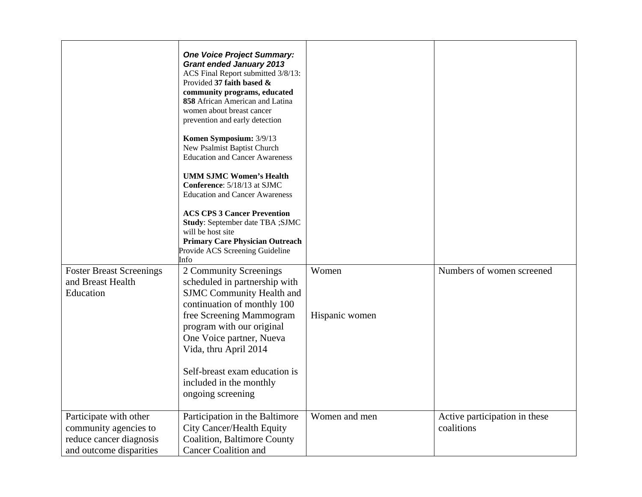|                                                                                                       | <b>One Voice Project Summary:</b><br><b>Grant ended January 2013</b><br>ACS Final Report submitted 3/8/13:<br>Provided 37 faith based &<br>community programs, educated<br>858 African American and Latina<br>women about breast cancer<br>prevention and early detection<br>Komen Symposium: 3/9/13<br>New Psalmist Baptist Church<br><b>Education and Cancer Awareness</b><br><b>UMM SJMC Women's Health</b><br>Conference: 5/18/13 at SJMC<br><b>Education and Cancer Awareness</b><br><b>ACS CPS 3 Cancer Prevention</b><br>Study: September date TBA ; SJMC<br>will be host site<br><b>Primary Care Physician Outreach</b><br>Provide ACS Screening Guideline |                |                                             |
|-------------------------------------------------------------------------------------------------------|--------------------------------------------------------------------------------------------------------------------------------------------------------------------------------------------------------------------------------------------------------------------------------------------------------------------------------------------------------------------------------------------------------------------------------------------------------------------------------------------------------------------------------------------------------------------------------------------------------------------------------------------------------------------|----------------|---------------------------------------------|
| <b>Foster Breast Screenings</b><br>and Breast Health<br>Education                                     | Info<br>2 Community Screenings<br>scheduled in partnership with<br><b>SJMC</b> Community Health and<br>continuation of monthly 100                                                                                                                                                                                                                                                                                                                                                                                                                                                                                                                                 | Women          | Numbers of women screened                   |
|                                                                                                       | free Screening Mammogram<br>program with our original<br>One Voice partner, Nueva<br>Vida, thru April 2014<br>Self-breast exam education is<br>included in the monthly<br>ongoing screening                                                                                                                                                                                                                                                                                                                                                                                                                                                                        | Hispanic women |                                             |
| Participate with other<br>community agencies to<br>reduce cancer diagnosis<br>and outcome disparities | Participation in the Baltimore<br><b>City Cancer/Health Equity</b><br><b>Coalition, Baltimore County</b><br><b>Cancer Coalition and</b>                                                                                                                                                                                                                                                                                                                                                                                                                                                                                                                            | Women and men  | Active participation in these<br>coalitions |